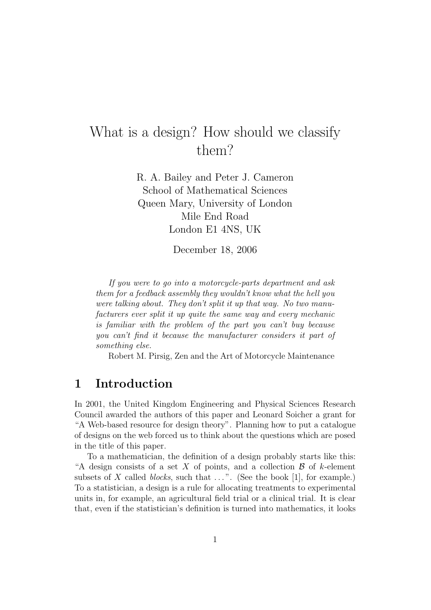# What is a design? How should we classify them?

R. A. Bailey and Peter J. Cameron School of Mathematical Sciences Queen Mary, University of London Mile End Road London E1 4NS, UK

December 18, 2006

If you were to go into a motorcycle-parts department and ask them for a feedback assembly they wouldn't know what the hell you were talking about. They don't split it up that way. No two manufacturers ever split it up quite the same way and every mechanic is familiar with the problem of the part you can't buy because you can't find it because the manufacturer considers it part of something else.

Robert M. Pirsig, Zen and the Art of Motorcycle Maintenance

### 1 Introduction

In 2001, the United Kingdom Engineering and Physical Sciences Research Council awarded the authors of this paper and Leonard Soicher a grant for "A Web-based resource for design theory". Planning how to put a catalogue of designs on the web forced us to think about the questions which are posed in the title of this paper.

To a mathematician, the definition of a design probably starts like this: "A design consists of a set X of points, and a collection  $\mathcal B$  of k-element subsets of X called *blocks*, such that  $\dots$ ". (See the book [1], for example.) To a statistician, a design is a rule for allocating treatments to experimental units in, for example, an agricultural field trial or a clinical trial. It is clear that, even if the statistician's definition is turned into mathematics, it looks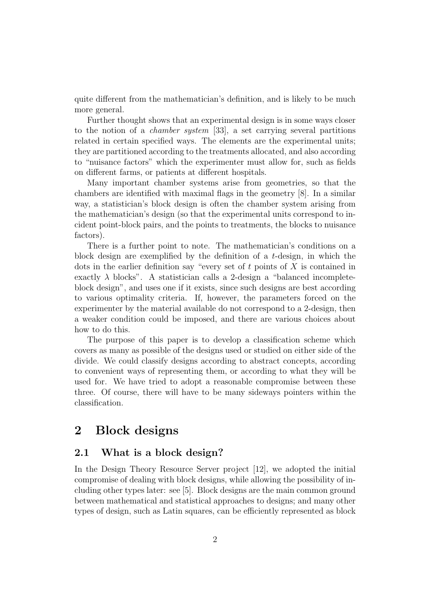quite different from the mathematician's definition, and is likely to be much more general.

Further thought shows that an experimental design is in some ways closer to the notion of a chamber system [33], a set carrying several partitions related in certain specified ways. The elements are the experimental units; they are partitioned according to the treatments allocated, and also according to "nuisance factors" which the experimenter must allow for, such as fields on different farms, or patients at different hospitals.

Many important chamber systems arise from geometries, so that the chambers are identified with maximal flags in the geometry [8]. In a similar way, a statistician's block design is often the chamber system arising from the mathematician's design (so that the experimental units correspond to incident point-block pairs, and the points to treatments, the blocks to nuisance factors).

There is a further point to note. The mathematician's conditions on a block design are exemplified by the definition of a t-design, in which the dots in the earlier definition say "every set of t points of X is contained in exactly  $\lambda$  blocks". A statistician calls a 2-design a "balanced incompleteblock design", and uses one if it exists, since such designs are best according to various optimality criteria. If, however, the parameters forced on the experimenter by the material available do not correspond to a 2-design, then a weaker condition could be imposed, and there are various choices about how to do this.

The purpose of this paper is to develop a classification scheme which covers as many as possible of the designs used or studied on either side of the divide. We could classify designs according to abstract concepts, according to convenient ways of representing them, or according to what they will be used for. We have tried to adopt a reasonable compromise between these three. Of course, there will have to be many sideways pointers within the classification.

### 2 Block designs

#### 2.1 What is a block design?

In the Design Theory Resource Server project [12], we adopted the initial compromise of dealing with block designs, while allowing the possibility of including other types later: see [5]. Block designs are the main common ground between mathematical and statistical approaches to designs; and many other types of design, such as Latin squares, can be efficiently represented as block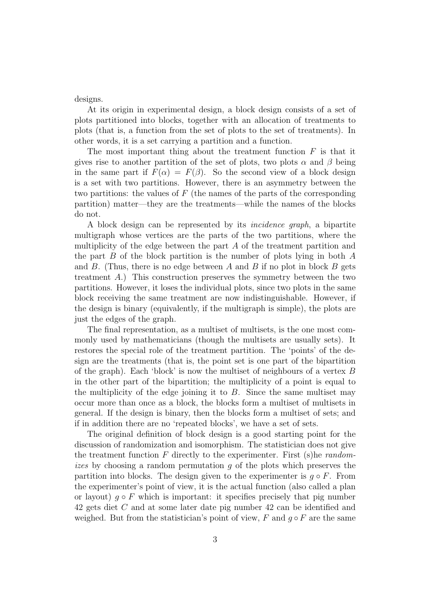designs.

At its origin in experimental design, a block design consists of a set of plots partitioned into blocks, together with an allocation of treatments to plots (that is, a function from the set of plots to the set of treatments). In other words, it is a set carrying a partition and a function.

The most important thing about the treatment function  $F$  is that it gives rise to another partition of the set of plots, two plots  $\alpha$  and  $\beta$  being in the same part if  $F(\alpha) = F(\beta)$ . So the second view of a block design is a set with two partitions. However, there is an asymmetry between the two partitions: the values of  $F$  (the names of the parts of the corresponding partition) matter—they are the treatments—while the names of the blocks do not.

A block design can be represented by its incidence graph, a bipartite multigraph whose vertices are the parts of the two partitions, where the multiplicity of the edge between the part A of the treatment partition and the part  $B$  of the block partition is the number of plots lying in both  $A$ and  $B$ . (Thus, there is no edge between  $A$  and  $B$  if no plot in block  $B$  gets treatment  $A$ .) This construction preserves the symmetry between the two partitions. However, it loses the individual plots, since two plots in the same block receiving the same treatment are now indistinguishable. However, if the design is binary (equivalently, if the multigraph is simple), the plots are just the edges of the graph.

The final representation, as a multiset of multisets, is the one most commonly used by mathematicians (though the multisets are usually sets). It restores the special role of the treatment partition. The 'points' of the design are the treatments (that is, the point set is one part of the bipartition of the graph). Each 'block' is now the multiset of neighbours of a vertex  $B$ in the other part of the bipartition; the multiplicity of a point is equal to the multiplicity of the edge joining it to  $B$ . Since the same multiset may occur more than once as a block, the blocks form a multiset of multisets in general. If the design is binary, then the blocks form a multiset of sets; and if in addition there are no 'repeated blocks', we have a set of sets.

The original definition of block design is a good starting point for the discussion of randomization and isomorphism. The statistician does not give the treatment function  $F$  directly to the experimenter. First (s) he *random*izes by choosing a random permutation  $q$  of the plots which preserves the partition into blocks. The design given to the experimenter is  $g \circ F$ . From the experimenter's point of view, it is the actual function (also called a plan or layout)  $g \circ F$  which is important: it specifies precisely that pig number 42 gets diet C and at some later date pig number 42 can be identified and weighed. But from the statistician's point of view, F and  $g \circ F$  are the same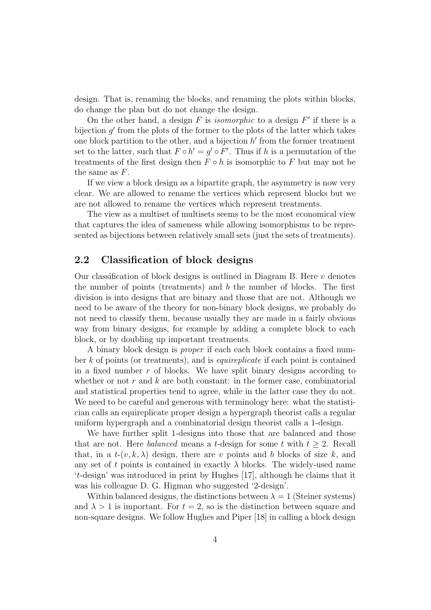design. That is, renaming the blocks, and renaming the plots within blocks, do change the plan but do not change the design.

On the other hand, a design  $F$  is *isomorphic* to a design  $F'$  if there is a bijection  $g'$  from the plots of the former to the plots of the latter which takes one block partition to the other, and a bijection  $h'$  from the former treatment set to the latter, such that  $F \circ h' = g' \circ F'$ . Thus if h is a permutation of the treatments of the first design then  $F \circ h$  is isomorphic to F but may not be the same as F.

If we view a block design as a bipartite graph, the asymmetry is now very clear. We are allowed to rename the vertices which represent blocks but we are not allowed to rename the vertices which represent treatments.

The view as a multiset of multisets seems to be the most economical view that captures the idea of sameness while allowing isomorphisms to be represented as bijections between relatively small sets (just the sets of treatments).

#### 2.2 Classification of block designs

Our classification of block designs is outlined in Diagram B. Here  $v$  denotes the number of points (treatments) and  $b$  the number of blocks. The first division is into designs that are binary and those that are not. Although we need to be aware of the theory for non-binary block designs, we probably do not need to classify them, because usually they are made in a fairly obvious way from binary designs, for example by adding a complete block to each block, or by doubling up important treatments.

A binary block design is proper if each each block contains a fixed number k of points (or treatments), and is equireplicate if each point is contained in a fixed number  $r$  of blocks. We have split binary designs according to whether or not  $r$  and  $k$  are both constant: in the former case, combinatorial and statistical properties tend to agree, while in the latter case they do not. We need to be careful and generous with terminology here: what the statistician calls an equireplicate proper design a hypergraph theorist calls a regular uniform hypergraph and a combinatorial design theorist calls a 1-design.

We have further split 1-designs into those that are balanced and those that are not. Here *balanced* means a *t*-design for some t with  $t \geq 2$ . Recall that, in a  $t-(v, k, \lambda)$  design, there are v points and b blocks of size k, and any set of t points is contained in exactly  $\lambda$  blocks. The widely-used name 't-design' was introduced in print by Hughes [17], although he claims that it was his colleague D. G. Higman who suggested '2-design'.

Within balanced designs, the distinctions between  $\lambda = 1$  (Steiner systems) and  $\lambda > 1$  is important. For  $t = 2$ , so is the distinction between square and non-square designs. We follow Hughes and Piper [18] in calling a block design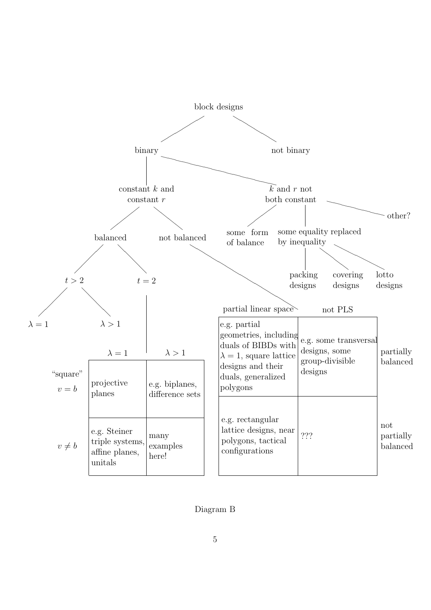

Diagram B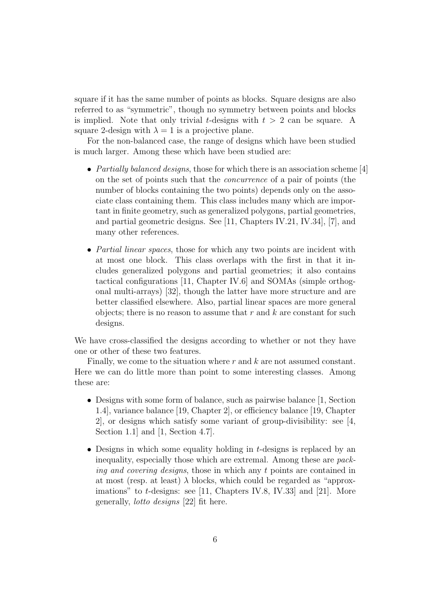square if it has the same number of points as blocks. Square designs are also referred to as "symmetric", though no symmetry between points and blocks is implied. Note that only trivial t-designs with  $t > 2$  can be square. A square 2-design with  $\lambda = 1$  is a projective plane.

For the non-balanced case, the range of designs which have been studied is much larger. Among these which have been studied are:

- Partially balanced designs, those for which there is an association scheme [4] on the set of points such that the concurrence of a pair of points (the number of blocks containing the two points) depends only on the associate class containing them. This class includes many which are important in finite geometry, such as generalized polygons, partial geometries, and partial geometric designs. See [11, Chapters IV.21, IV.34], [7], and many other references.
- Partial linear spaces, those for which any two points are incident with at most one block. This class overlaps with the first in that it includes generalized polygons and partial geometries; it also contains tactical configurations [11, Chapter IV.6] and SOMAs (simple orthogonal multi-arrays) [32], though the latter have more structure and are better classified elsewhere. Also, partial linear spaces are more general objects; there is no reason to assume that  $r$  and  $k$  are constant for such designs.

We have cross-classified the designs according to whether or not they have one or other of these two features.

Finally, we come to the situation where  $r$  and  $k$  are not assumed constant. Here we can do little more than point to some interesting classes. Among these are:

- Designs with some form of balance, such as pairwise balance [1, Section 1.4], variance balance [19, Chapter 2], or efficiency balance [19, Chapter 2], or designs which satisfy some variant of group-divisibility: see [4, Section 1.1] and [1, Section 4.7].
- Designs in which some equality holding in t-designs is replaced by an inequality, especially those which are extremal. Among these are packing and covering designs, those in which any t points are contained in at most (resp. at least)  $\lambda$  blocks, which could be regarded as "approximations" to t-designs: see [11, Chapters IV.8, IV.33] and [21]. More generally, lotto designs [22] fit here.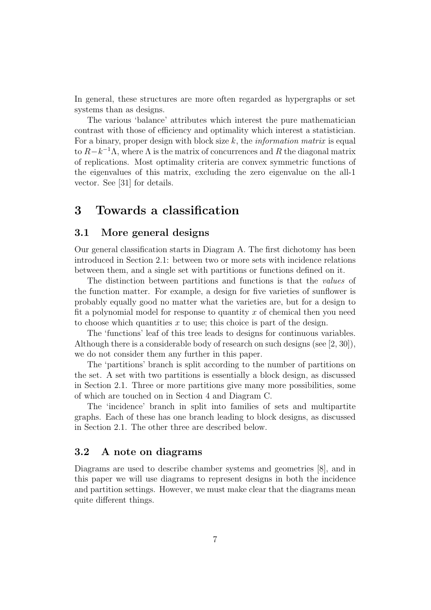In general, these structures are more often regarded as hypergraphs or set systems than as designs.

The various 'balance' attributes which interest the pure mathematician contrast with those of efficiency and optimality which interest a statistician. For a binary, proper design with block size  $k$ , the *information matrix* is equal to  $R-k^{-1}\Lambda$ , where  $\Lambda$  is the matrix of concurrences and R the diagonal matrix of replications. Most optimality criteria are convex symmetric functions of the eigenvalues of this matrix, excluding the zero eigenvalue on the all-1 vector. See [31] for details.

### 3 Towards a classification

#### 3.1 More general designs

Our general classification starts in Diagram A. The first dichotomy has been introduced in Section 2.1: between two or more sets with incidence relations between them, and a single set with partitions or functions defined on it.

The distinction between partitions and functions is that the values of the function matter. For example, a design for five varieties of sunflower is probably equally good no matter what the varieties are, but for a design to fit a polynomial model for response to quantity  $x$  of chemical then you need to choose which quantities  $x$  to use; this choice is part of the design.

The 'functions' leaf of this tree leads to designs for continuous variables. Although there is a considerable body of research on such designs (see [2, 30]), we do not consider them any further in this paper.

The 'partitions' branch is split according to the number of partitions on the set. A set with two partitions is essentially a block design, as discussed in Section 2.1. Three or more partitions give many more possibilities, some of which are touched on in Section 4 and Diagram C.

The 'incidence' branch in split into families of sets and multipartite graphs. Each of these has one branch leading to block designs, as discussed in Section 2.1. The other three are described below.

#### 3.2 A note on diagrams

Diagrams are used to describe chamber systems and geometries [8], and in this paper we will use diagrams to represent designs in both the incidence and partition settings. However, we must make clear that the diagrams mean quite different things.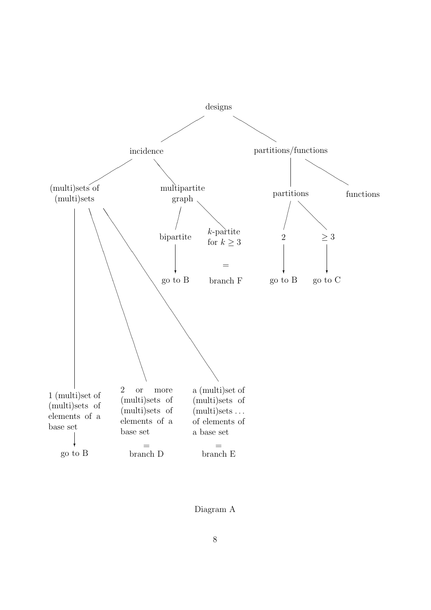

Diagram A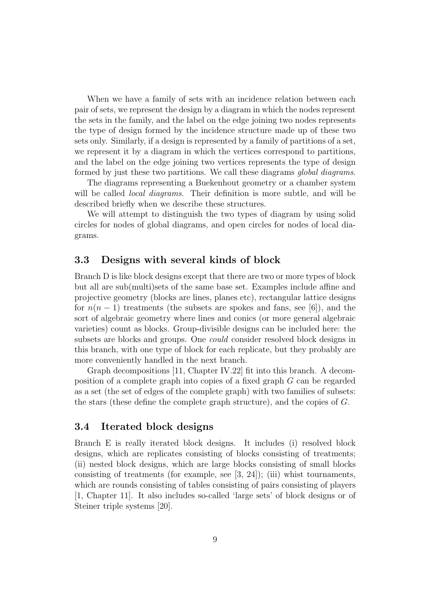When we have a family of sets with an incidence relation between each pair of sets, we represent the design by a diagram in which the nodes represent the sets in the family, and the label on the edge joining two nodes represents the type of design formed by the incidence structure made up of these two sets only. Similarly, if a design is represented by a family of partitions of a set, we represent it by a diagram in which the vertices correspond to partitions, and the label on the edge joining two vertices represents the type of design formed by just these two partitions. We call these diagrams global diagrams.

The diagrams representing a Buekenhout geometry or a chamber system will be called *local diagrams*. Their definition is more subtle, and will be described briefly when we describe these structures.

We will attempt to distinguish the two types of diagram by using solid circles for nodes of global diagrams, and open circles for nodes of local diagrams.

#### 3.3 Designs with several kinds of block

Branch D is like block designs except that there are two or more types of block but all are sub(multi)sets of the same base set. Examples include affine and projective geometry (blocks are lines, planes etc), rectangular lattice designs for  $n(n-1)$  treatments (the subsets are spokes and fans, see [6]), and the sort of algebraic geometry where lines and conics (or more general algebraic varieties) count as blocks. Group-divisible designs can be included here: the subsets are blocks and groups. One *could* consider resolved block designs in this branch, with one type of block for each replicate, but they probably are more conveniently handled in the next branch.

Graph decompositions [11, Chapter IV.22] fit into this branch. A decomposition of a complete graph into copies of a fixed graph G can be regarded as a set (the set of edges of the complete graph) with two families of subsets: the stars (these define the complete graph structure), and the copies of  $G$ .

#### 3.4 Iterated block designs

Branch E is really iterated block designs. It includes (i) resolved block designs, which are replicates consisting of blocks consisting of treatments; (ii) nested block designs, which are large blocks consisting of small blocks consisting of treatments (for example, see [3, 24]); (iii) whist tournaments, which are rounds consisting of tables consisting of pairs consisting of players [1, Chapter 11]. It also includes so-called 'large sets' of block designs or of Steiner triple systems [20].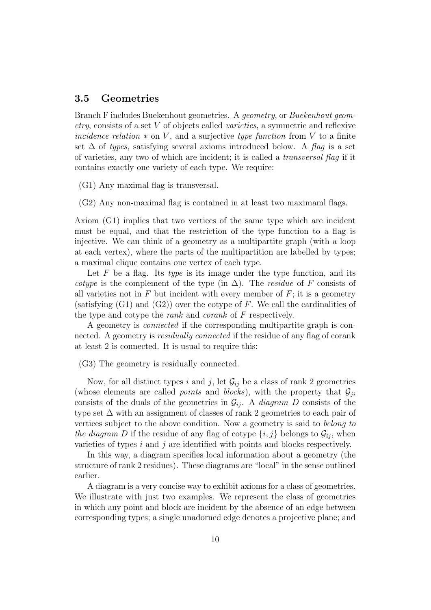#### 3.5 Geometries

Branch F includes Buekenhout geometries. A geometry, or Buekenhout geometry, consists of a set V of objects called varieties, a symmetric and reflexive *incidence relation*  $*$  on V, and a surjective type function from V to a finite set  $\Delta$  of types, satisfying several axioms introduced below. A flag is a set of varieties, any two of which are incident; it is called a transversal flag if it contains exactly one variety of each type. We require:

(G1) Any maximal flag is transversal.

(G2) Any non-maximal flag is contained in at least two maximaml flags.

Axiom (G1) implies that two vertices of the same type which are incident must be equal, and that the restriction of the type function to a flag is injective. We can think of a geometry as a multipartite graph (with a loop at each vertex), where the parts of the multipartition are labelled by types; a maximal clique contains one vertex of each type.

Let  $F$  be a flag. Its *type* is its image under the type function, and its cotype is the complement of the type (in  $\Delta$ ). The *residue* of F consists of all varieties not in  $F$  but incident with every member of  $F$ ; it is a geometry (satisfying  $(G1)$  and  $(G2)$ ) over the cotype of F. We call the cardinalities of the type and cotype the rank and corank of F respectively.

A geometry is connected if the corresponding multipartite graph is connected. A geometry is residually connected if the residue of any flag of corank at least 2 is connected. It is usual to require this:

(G3) The geometry is residually connected.

Now, for all distinct types i and j, let  $\mathcal{G}_{ij}$  be a class of rank 2 geometries (whose elements are called *points* and *blocks*), with the property that  $\mathcal{G}_{ii}$ consists of the duals of the geometries in  $\mathcal{G}_{ij}$ . A *diagram D* consists of the type set ∆ with an assignment of classes of rank 2 geometries to each pair of vertices subject to the above condition. Now a geometry is said to belong to the diagram D if the residue of any flag of cotype  $\{i, j\}$  belongs to  $\mathcal{G}_{ij}$ , when varieties of types  $i$  and  $j$  are identified with points and blocks respectively.

In this way, a diagram specifies local information about a geometry (the structure of rank 2 residues). These diagrams are "local" in the sense outlined earlier.

A diagram is a very concise way to exhibit axioms for a class of geometries. We illustrate with just two examples. We represent the class of geometries in which any point and block are incident by the absence of an edge between corresponding types; a single unadorned edge denotes a projective plane; and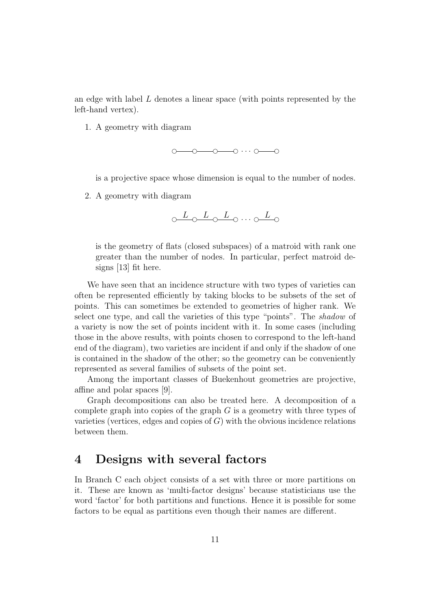an edge with label L denotes a linear space (with points represented by the left-hand vertex).

1. A geometry with diagram



is a projective space whose dimension is equal to the number of nodes.

2. A geometry with diagram

$$
\circ \xrightarrow{L} \circ \xrightarrow{L} \circ \cdots \circ \xrightarrow{L} \circ
$$

is the geometry of flats (closed subspaces) of a matroid with rank one greater than the number of nodes. In particular, perfect matroid designs [13] fit here.

We have seen that an incidence structure with two types of varieties can often be represented efficiently by taking blocks to be subsets of the set of points. This can sometimes be extended to geometries of higher rank. We select one type, and call the varieties of this type "points". The shadow of a variety is now the set of points incident with it. In some cases (including those in the above results, with points chosen to correspond to the left-hand end of the diagram), two varieties are incident if and only if the shadow of one is contained in the shadow of the other; so the geometry can be conveniently represented as several families of subsets of the point set.

Among the important classes of Buekenhout geometries are projective, affine and polar spaces [9].

Graph decompositions can also be treated here. A decomposition of a complete graph into copies of the graph  $G$  is a geometry with three types of varieties (vertices, edges and copies of  $G$ ) with the obvious incidence relations between them.

### 4 Designs with several factors

In Branch C each object consists of a set with three or more partitions on it. These are known as 'multi-factor designs' because statisticians use the word 'factor' for both partitions and functions. Hence it is possible for some factors to be equal as partitions even though their names are different.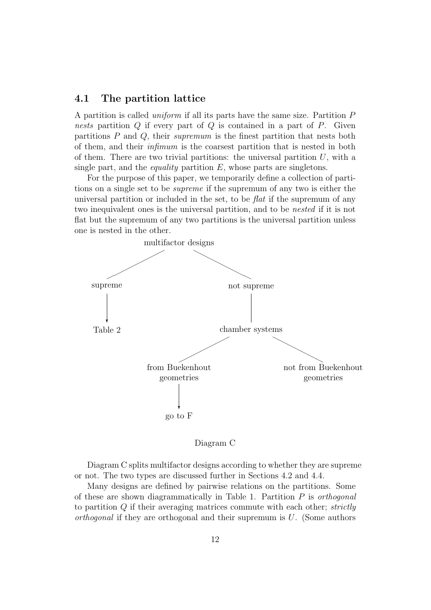#### 4.1 The partition lattice

A partition is called uniform if all its parts have the same size. Partition P nests partition  $Q$  if every part of  $Q$  is contained in a part of  $P$ . Given partitions P and Q, their supremum is the finest partition that nests both of them, and their infimum is the coarsest partition that is nested in both of them. There are two trivial partitions: the universal partition  $U$ , with a single part, and the *equality* partition  $E$ , whose parts are singletons.

For the purpose of this paper, we temporarily define a collection of partitions on a single set to be supreme if the supremum of any two is either the universal partition or included in the set, to be  $flat$  if the supremum of any two inequivalent ones is the universal partition, and to be nested if it is not flat but the supremum of any two partitions is the universal partition unless one is nested in the other.



Diagram C

Diagram C splits multifactor designs according to whether they are supreme or not. The two types are discussed further in Sections 4.2 and 4.4.

Many designs are defined by pairwise relations on the partitions. Some of these are shown diagrammatically in Table 1. Partition  $P$  is *orthogonal* to partition  $Q$  if their averaging matrices commute with each other; *strictly orthogonal* if they are orthogonal and their supremum is  $U$ . (Some authors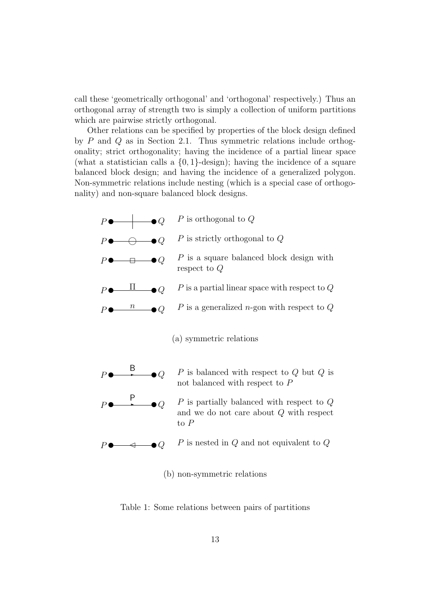call these 'geometrically orthogonal' and 'orthogonal' respectively.) Thus an orthogonal array of strength two is simply a collection of uniform partitions which are pairwise strictly orthogonal.

Other relations can be specified by properties of the block design defined by  $P$  and  $Q$  as in Section 2.1. Thus symmetric relations include orthogonality; strict orthogonality; having the incidence of a partial linear space (what a statistician calls a  $\{0, 1\}$ -design); having the incidence of a square balanced block design; and having the incidence of a generalized polygon. Non-symmetric relations include nesting (which is a special case of orthogonality) and non-square balanced block designs.



(b) non-symmetric relations

Table 1: Some relations between pairs of partitions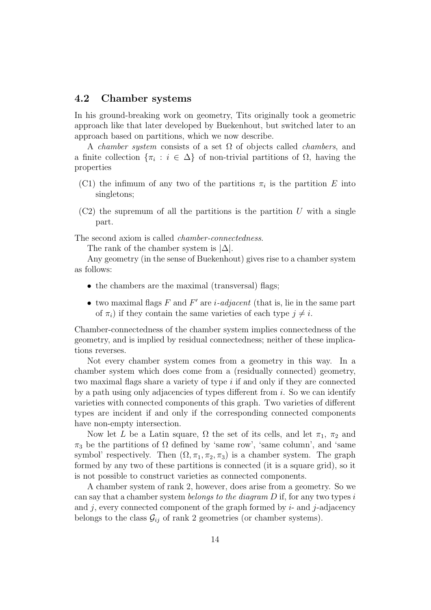#### 4.2 Chamber systems

In his ground-breaking work on geometry, Tits originally took a geometric approach like that later developed by Buekenhout, but switched later to an approach based on partitions, which we now describe.

A *chamber system* consists of a set  $\Omega$  of objects called *chambers*, and a finite collection  $\{\pi_i : i \in \Delta\}$  of non-trivial partitions of  $\Omega$ , having the properties

- (C1) the infimum of any two of the partitions  $\pi_i$  is the partition E into singletons;
- $(C2)$  the supremum of all the partitions is the partition U with a single part.

The second axiom is called chamber-connectedness.

The rank of the chamber system is  $|\Delta|$ .

Any geometry (in the sense of Buekenhout) gives rise to a chamber system as follows:

- the chambers are the maximal (transversal) flags;
- two maximal flags  $F$  and  $F'$  are *i*-adjacent (that is, lie in the same part of  $\pi_i$ ) if they contain the same varieties of each type  $i \neq i$ .

Chamber-connectedness of the chamber system implies connectedness of the geometry, and is implied by residual connectedness; neither of these implications reverses.

Not every chamber system comes from a geometry in this way. In a chamber system which does come from a (residually connected) geometry, two maximal flags share a variety of type  $i$  if and only if they are connected by a path using only adjacencies of types different from  $i$ . So we can identify varieties with connected components of this graph. Two varieties of different types are incident if and only if the corresponding connected components have non-empty intersection.

Now let L be a Latin square,  $\Omega$  the set of its cells, and let  $\pi_1$ ,  $\pi_2$  and  $π<sub>3</sub>$  be the partitions of  $Ω$  defined by 'same row', 'same column', and 'same symbol' respectively. Then  $(\Omega, \pi_1, \pi_2, \pi_3)$  is a chamber system. The graph formed by any two of these partitions is connected (it is a square grid), so it is not possible to construct varieties as connected components.

A chamber system of rank 2, however, does arise from a geometry. So we can say that a chamber system *belongs to the diagram*  $D$  if, for any two types  $i$ and j, every connected component of the graph formed by  $i$ - and j-adjacency belongs to the class  $\mathcal{G}_{ij}$  of rank 2 geometries (or chamber systems).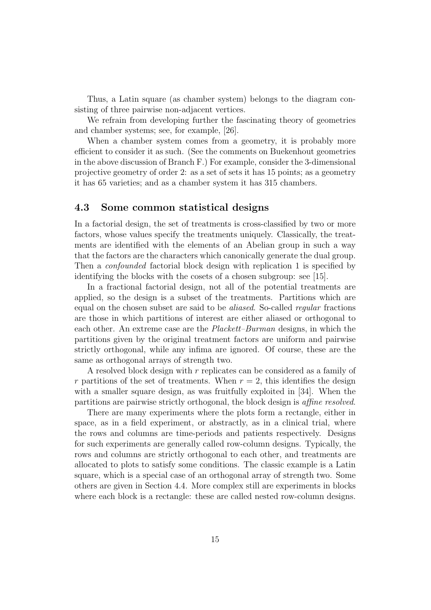Thus, a Latin square (as chamber system) belongs to the diagram consisting of three pairwise non-adjacent vertices.

We refrain from developing further the fascinating theory of geometries and chamber systems; see, for example, [26].

When a chamber system comes from a geometry, it is probably more efficient to consider it as such. (See the comments on Buekenhout geometries in the above discussion of Branch F.) For example, consider the 3-dimensional projective geometry of order 2: as a set of sets it has 15 points; as a geometry it has 65 varieties; and as a chamber system it has 315 chambers.

#### 4.3 Some common statistical designs

In a factorial design, the set of treatments is cross-classified by two or more factors, whose values specify the treatments uniquely. Classically, the treatments are identified with the elements of an Abelian group in such a way that the factors are the characters which canonically generate the dual group. Then a *confounded* factorial block design with replication 1 is specified by identifying the blocks with the cosets of a chosen subgroup: see [15].

In a fractional factorial design, not all of the potential treatments are applied, so the design is a subset of the treatments. Partitions which are equal on the chosen subset are said to be aliased. So-called regular fractions are those in which partitions of interest are either aliased or orthogonal to each other. An extreme case are the *Plackett–Burman* designs, in which the partitions given by the original treatment factors are uniform and pairwise strictly orthogonal, while any infima are ignored. Of course, these are the same as orthogonal arrays of strength two.

A resolved block design with r replicates can be considered as a family of r partitions of the set of treatments. When  $r = 2$ , this identifies the design with a smaller square design, as was fruitfully exploited in [34]. When the partitions are pairwise strictly orthogonal, the block design is affine resolved.

There are many experiments where the plots form a rectangle, either in space, as in a field experiment, or abstractly, as in a clinical trial, where the rows and columns are time-periods and patients respectively. Designs for such experiments are generally called row-column designs. Typically, the rows and columns are strictly orthogonal to each other, and treatments are allocated to plots to satisfy some conditions. The classic example is a Latin square, which is a special case of an orthogonal array of strength two. Some others are given in Section 4.4. More complex still are experiments in blocks where each block is a rectangle: these are called nested row-column designs.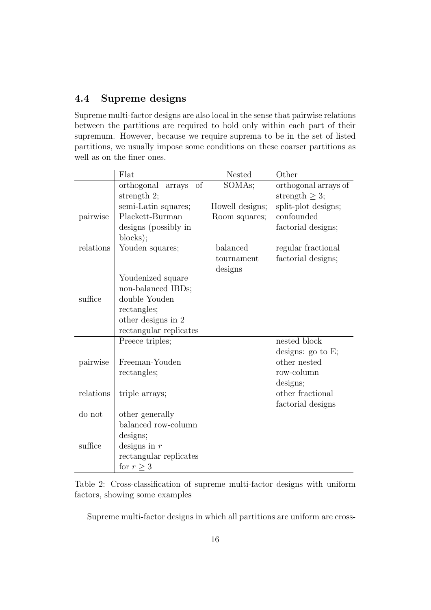### 4.4 Supreme designs

Supreme multi-factor designs are also local in the sense that pairwise relations between the partitions are required to hold only within each part of their supremum. However, because we require suprema to be in the set of listed partitions, we usually impose some conditions on these coarser partitions as well as on the finer ones.

|           | Flat                       | Nested          | Other                |
|-----------|----------------------------|-----------------|----------------------|
|           | of<br>orthogonal<br>arrays | SOMAs;          | orthogonal arrays of |
|           | strength $2$ ;             |                 | strength $\geq$ 3;   |
|           | semi-Latin squares;        | Howell designs; | split-plot designs;  |
| pairwise  | Plackett-Burman            | Room squares;   | confounded           |
|           | designs (possibly in       |                 | factorial designs;   |
|           | blocks);                   |                 |                      |
| relations | Youden squares;            | balanced        | regular fractional   |
|           |                            | tournament      | factorial designs;   |
|           |                            | designs         |                      |
|           | Youdenized square          |                 |                      |
|           | non-balanced IBDs;         |                 |                      |
| suffice   | double Youden              |                 |                      |
|           | rectangles;                |                 |                      |
|           | other designs in $2\,$     |                 |                      |
|           | rectangular replicates     |                 |                      |
|           | Preece triples;            |                 | nested block         |
|           |                            |                 | designs: go to $E$ ; |
| pairwise  | Freeman-Youden             |                 | other nested         |
|           | rectangles;                |                 | row-column           |
|           |                            |                 | designs;             |
| relations | triple arrays;             |                 | other fractional     |
|           |                            |                 | factorial designs    |
| do not    | other generally            |                 |                      |
|           | balanced row-column        |                 |                      |
|           | designs;                   |                 |                      |
| suffice   | designs in $r$             |                 |                      |
|           | rectangular replicates     |                 |                      |
|           | for $r\geq 3$              |                 |                      |

Table 2: Cross-classification of supreme multi-factor designs with uniform factors, showing some examples

Supreme multi-factor designs in which all partitions are uniform are cross-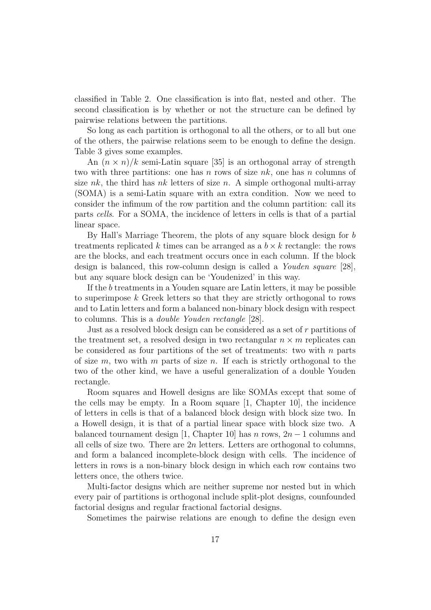classified in Table 2. One classification is into flat, nested and other. The second classification is by whether or not the structure can be defined by pairwise relations between the partitions.

So long as each partition is orthogonal to all the others, or to all but one of the others, the pairwise relations seem to be enough to define the design. Table 3 gives some examples.

An  $(n \times n)/k$  semi-Latin square [35] is an orthogonal array of strength two with three partitions: one has n rows of size  $nk$ , one has n columns of size nk, the third has nk letters of size n. A simple orthogonal multi-array (SOMA) is a semi-Latin square with an extra condition. Now we need to consider the infimum of the row partition and the column partition: call its parts cells. For a SOMA, the incidence of letters in cells is that of a partial linear space.

By Hall's Marriage Theorem, the plots of any square block design for b treatments replicated k times can be arranged as a  $b \times k$  rectangle: the rows are the blocks, and each treatment occurs once in each column. If the block design is balanced, this row-column design is called a Youden square [28], but any square block design can be 'Youdenized' in this way.

If the b treatments in a Youden square are Latin letters, it may be possible to superimpose  $k$  Greek letters so that they are strictly orthogonal to rows and to Latin letters and form a balanced non-binary block design with respect to columns. This is a double Youden rectangle [28].

Just as a resolved block design can be considered as a set of r partitions of the treatment set, a resolved design in two rectangular  $n \times m$  replicates can be considered as four partitions of the set of treatments: two with  $n$  parts of size m, two with m parts of size n. If each is strictly orthogonal to the two of the other kind, we have a useful generalization of a double Youden rectangle.

Room squares and Howell designs are like SOMAs except that some of the cells may be empty. In a Room square [1, Chapter 10], the incidence of letters in cells is that of a balanced block design with block size two. In a Howell design, it is that of a partial linear space with block size two. A balanced tournament design [1, Chapter 10] has n rows,  $2n - 1$  columns and all cells of size two. There are 2n letters. Letters are orthogonal to columns, and form a balanced incomplete-block design with cells. The incidence of letters in rows is a non-binary block design in which each row contains two letters once, the others twice.

Multi-factor designs which are neither supreme nor nested but in which every pair of partitions is orthogonal include split-plot designs, counfounded factorial designs and regular fractional factorial designs.

Sometimes the pairwise relations are enough to define the design even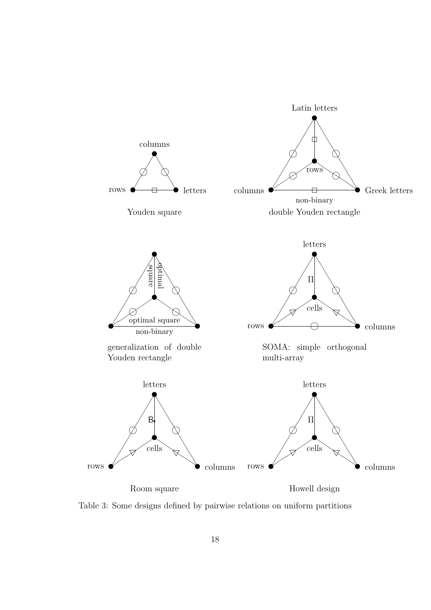

Table 3: Some designs defined by pairwise relations on uniform partitions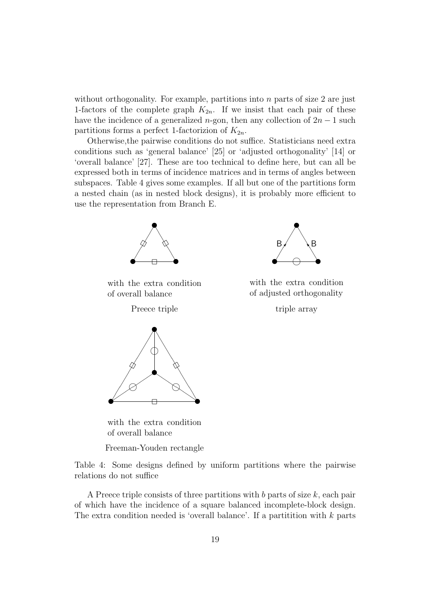without orthogonality. For example, partitions into  $n$  parts of size 2 are just 1-factors of the complete graph  $K_{2n}$ . If we insist that each pair of these have the incidence of a generalized n-gon, then any collection of  $2n - 1$  such partitions forms a perfect 1-factorizion of  $K_{2n}$ .

Otherwise,the pairwise conditions do not suffice. Statisticians need extra conditions such as 'general balance' [25] or 'adjusted orthogonality' [14] or 'overall balance' [27]. These are too technical to define here, but can all be expressed both in terms of incidence matrices and in terms of angles between subspaces. Table 4 gives some examples. If all but one of the partitions form a nested chain (as in nested block designs), it is probably more efficient to use the representation from Branch E.



with the extra condition of overall balance

Preece triple triple array



with the extra condition of adjusted orthogonality



with the extra condition of overall balance

Freeman-Youden rectangle

Table 4: Some designs defined by uniform partitions where the pairwise relations do not suffice

A Preece triple consists of three partitions with  $b$  parts of size  $k$ , each pair of which have the incidence of a square balanced incomplete-block design. The extra condition needed is 'overall balance'. If a partition with  $k$  parts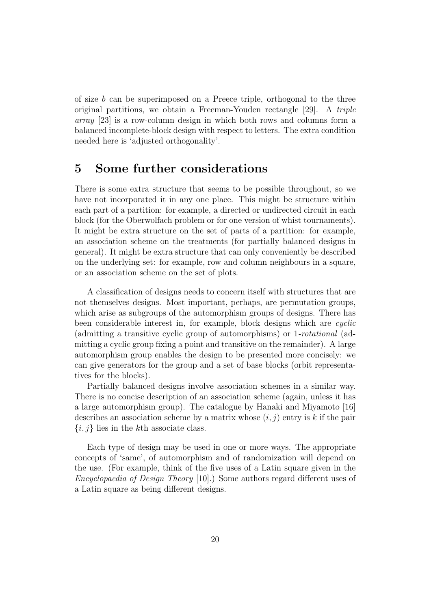of size b can be superimposed on a Preece triple, orthogonal to the three original partitions, we obtain a Freeman-Youden rectangle [29]. A triple array [23] is a row-column design in which both rows and columns form a balanced incomplete-block design with respect to letters. The extra condition needed here is 'adjusted orthogonality'.

### 5 Some further considerations

There is some extra structure that seems to be possible throughout, so we have not incorporated it in any one place. This might be structure within each part of a partition: for example, a directed or undirected circuit in each block (for the Oberwolfach problem or for one version of whist tournaments). It might be extra structure on the set of parts of a partition: for example, an association scheme on the treatments (for partially balanced designs in general). It might be extra structure that can only conveniently be described on the underlying set: for example, row and column neighbours in a square, or an association scheme on the set of plots.

A classification of designs needs to concern itself with structures that are not themselves designs. Most important, perhaps, are permutation groups, which arise as subgroups of the automorphism groups of designs. There has been considerable interest in, for example, block designs which are cyclic (admitting a transitive cyclic group of automorphisms) or 1-rotational (admitting a cyclic group fixing a point and transitive on the remainder). A large automorphism group enables the design to be presented more concisely: we can give generators for the group and a set of base blocks (orbit representatives for the blocks).

Partially balanced designs involve association schemes in a similar way. There is no concise description of an association scheme (again, unless it has a large automorphism group). The catalogue by Hanaki and Miyamoto [16] describes an association scheme by a matrix whose  $(i, j)$  entry is k if the pair  $\{i, j\}$  lies in the k<sup>th</sup> associate class.

Each type of design may be used in one or more ways. The appropriate concepts of 'same', of automorphism and of randomization will depend on the use. (For example, think of the five uses of a Latin square given in the Encyclopaedia of Design Theory [10].) Some authors regard different uses of a Latin square as being different designs.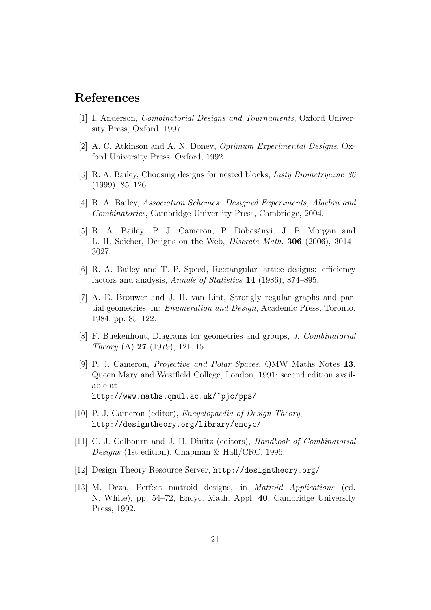## References

- [1] I. Anderson, Combinatorial Designs and Tournaments, Oxford University Press, Oxford, 1997.
- [2] A. C. Atkinson and A. N. Donev, Optimum Experimental Designs, Oxford University Press, Oxford, 1992.
- [3] R. A. Bailey, Choosing designs for nested blocks, Listy Biometryczne 36 (1999), 85–126.
- [4] R. A. Bailey, Association Schemes: Designed Experiments, Algebra and Combinatorics, Cambridge University Press, Cambridge, 2004.
- [5] R. A. Bailey, P. J. Cameron, P. Dobcs´anyi, J. P. Morgan and L. H. Soicher, Designs on the Web, Discrete Math. 306 (2006), 3014– 3027.
- [6] R. A. Bailey and T. P. Speed, Rectangular lattice designs: efficiency factors and analysis, Annals of Statistics 14 (1986), 874–895.
- [7] A. E. Brouwer and J. H. van Lint, Strongly regular graphs and partial geometries, in: Enumeration and Design, Academic Press, Toronto, 1984, pp. 85–122.
- [8] F. Buekenhout, Diagrams for geometries and groups, J. Combinatorial Theory (A)  $27$  (1979), 121–151.
- [9] P. J. Cameron, Projective and Polar Spaces, QMW Maths Notes 13, Queen Mary and Westfield College, London, 1991; second edition available at http://www.maths.qmul.ac.uk/~pjc/pps/
- [10] P. J. Cameron (editor), Encyclopaedia of Design Theory, http://designtheory.org/library/encyc/
- [11] C. J. Colbourn and J. H. Dinitz (editors), Handbook of Combinatorial Designs (1st edition), Chapman & Hall/CRC, 1996.
- [12] Design Theory Resource Server, http://designtheory.org/
- [13] M. Deza, Perfect matroid designs, in Matroid Applications (ed. N. White), pp. 54–72, Encyc. Math. Appl. 40, Cambridge University Press, 1992.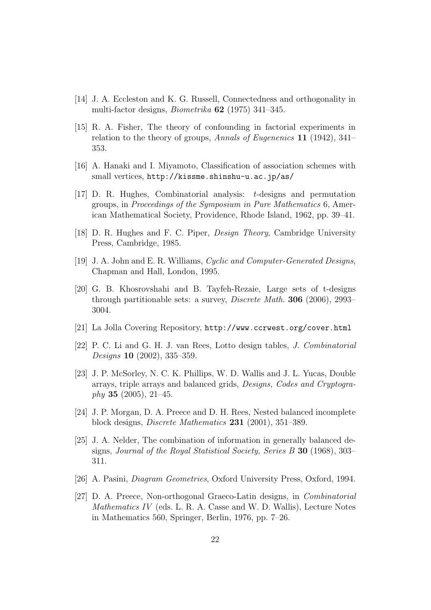- [14] J. A. Eccleston and K. G. Russell, Connectedness and orthogonality in multi-factor designs, Biometrika 62 (1975) 341–345.
- [15] R. A. Fisher, The theory of confounding in factorial experiments in relation to the theory of groups, Annals of Eugenenics 11 (1942), 341– 353.
- [16] A. Hanaki and I. Miyamoto, Classification of association schemes with small vertices, http://kissme.shinshu-u.ac.jp/as/
- [17] D. R. Hughes, Combinatorial analysis: t-designs and permutation groups, in Proceedings of the Symposium in Pure Mathematics 6, American Mathematical Society, Providence, Rhode Island, 1962, pp. 39–41.
- [18] D. R. Hughes and F. C. Piper, Design Theory, Cambridge University Press, Cambridge, 1985.
- [19] J. A. John and E. R. Williams, Cyclic and Computer-Generated Designs, Chapman and Hall, London, 1995.
- [20] G. B. Khosrovshahi and B. Tayfeh-Rezaie, Large sets of t-designs through partitionable sets: a survey, Discrete Math. 306 (2006), 2993– 3004.
- [21] La Jolla Covering Repository, http://www.ccrwest.org/cover.html
- [22] P. C. Li and G. H. J. van Rees, Lotto design tables, J. Combinatorial Designs 10 (2002), 335–359.
- [23] J. P. McSorley, N. C. K. Phillips, W. D. Wallis and J. L. Yucas, Double arrays, triple arrays and balanced grids, Designs, Codes and Cryptogra $phy$  35 (2005), 21–45.
- [24] J. P. Morgan, D. A. Preece and D. H. Rees, Nested balanced incomplete block designs, Discrete Mathematics 231 (2001), 351–389.
- [25] J. A. Nelder, The combination of information in generally balanced designs, Journal of the Royal Statistical Society, Series B 30 (1968), 303– 311.
- [26] A. Pasini, Diagram Geometries, Oxford University Press, Oxford, 1994.
- [27] D. A. Preece, Non-orthogonal Graeco-Latin designs, in Combinatorial Mathematics IV (eds. L. R. A. Casse and W. D. Wallis), Lecture Notes in Mathematics 560, Springer, Berlin, 1976, pp. 7–26.